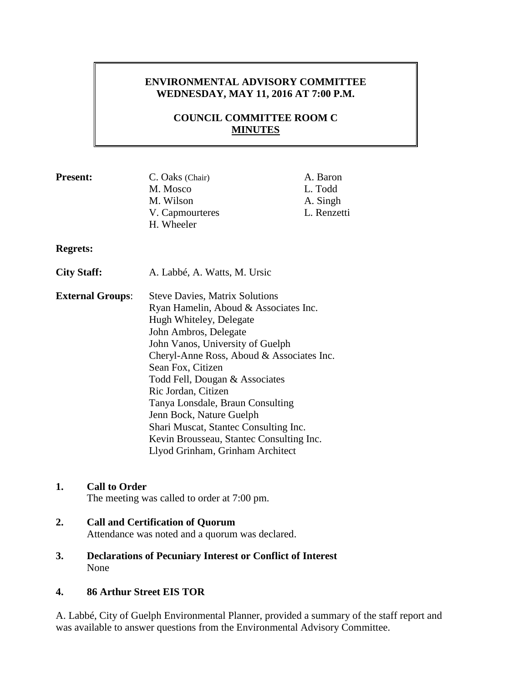# **ENVIRONMENTAL ADVISORY COMMITTEE WEDNESDAY, MAY 11, 2016 AT 7:00 P.M.**

# **COUNCIL COMMITTEE ROOM C MINUTES**

| M. Wilson<br>V. Capmourteres<br>H. Wheeler                                                                                                                                                                                                                                                                                                                                                                 | L. Todd<br>A. Singh<br>L. Renzetti                                                       |
|------------------------------------------------------------------------------------------------------------------------------------------------------------------------------------------------------------------------------------------------------------------------------------------------------------------------------------------------------------------------------------------------------------|------------------------------------------------------------------------------------------|
|                                                                                                                                                                                                                                                                                                                                                                                                            |                                                                                          |
| A. Labbé, A. Watts, M. Ursic                                                                                                                                                                                                                                                                                                                                                                               |                                                                                          |
| <b>Steve Davies, Matrix Solutions</b><br>Ryan Hamelin, Aboud & Associates Inc.<br>Hugh Whiteley, Delegate<br>John Ambros, Delegate<br>John Vanos, University of Guelph<br>Cheryl-Anne Ross, Aboud & Associates Inc.<br>Sean Fox, Citizen<br>Todd Fell, Dougan & Associates<br>Ric Jordan, Citizen<br>Tanya Lonsdale, Braun Consulting<br>Jenn Bock, Nature Guelph<br>Shari Muscat, Stantec Consulting Inc. |                                                                                          |
|                                                                                                                                                                                                                                                                                                                                                                                                            | M. Mosco<br>Kevin Brousseau, Stantec Consulting Inc.<br>Llyod Grinham, Grinham Architect |

## **1. Call to Order**

The meeting was called to order at 7:00 pm.

#### **2. Call and Certification of Quorum** Attendance was noted and a quorum was declared.

**3. Declarations of Pecuniary Interest or Conflict of Interest** None

#### **4. 86 Arthur Street EIS TOR**

A. Labbé, City of Guelph Environmental Planner, provided a summary of the staff report and was available to answer questions from the Environmental Advisory Committee.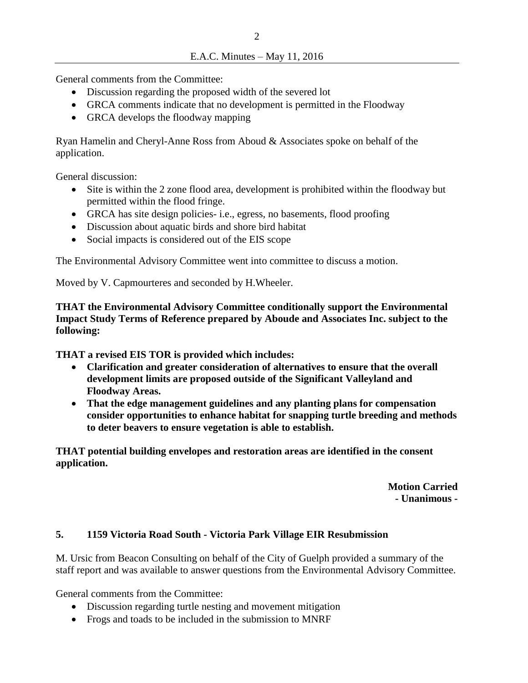General comments from the Committee:

- Discussion regarding the proposed width of the severed lot
- GRCA comments indicate that no development is permitted in the Floodway
- GRCA develops the floodway mapping

Ryan Hamelin and Cheryl-Anne Ross from Aboud & Associates spoke on behalf of the application.

General discussion:

- Site is within the 2 zone flood area, development is prohibited within the floodway but permitted within the flood fringe.
- GRCA has site design policies- i.e., egress, no basements, flood proofing
- Discussion about aquatic birds and shore bird habitat
- Social impacts is considered out of the EIS scope

The Environmental Advisory Committee went into committee to discuss a motion.

Moved by V. Capmourteres and seconded by H.Wheeler.

**THAT the Environmental Advisory Committee conditionally support the Environmental Impact Study Terms of Reference prepared by Aboude and Associates Inc. subject to the following:**

**THAT a revised EIS TOR is provided which includes:** 

- **Clarification and greater consideration of alternatives to ensure that the overall development limits are proposed outside of the Significant Valleyland and Floodway Areas.**
- **That the edge management guidelines and any planting plans for compensation consider opportunities to enhance habitat for snapping turtle breeding and methods to deter beavers to ensure vegetation is able to establish.**

**THAT potential building envelopes and restoration areas are identified in the consent application.**

> **Motion Carried - Unanimous -**

## **5. 1159 Victoria Road South - Victoria Park Village EIR Resubmission**

M. Ursic from Beacon Consulting on behalf of the City of Guelph provided a summary of the staff report and was available to answer questions from the Environmental Advisory Committee.

General comments from the Committee:

- Discussion regarding turtle nesting and movement mitigation
- Frogs and toads to be included in the submission to MNRF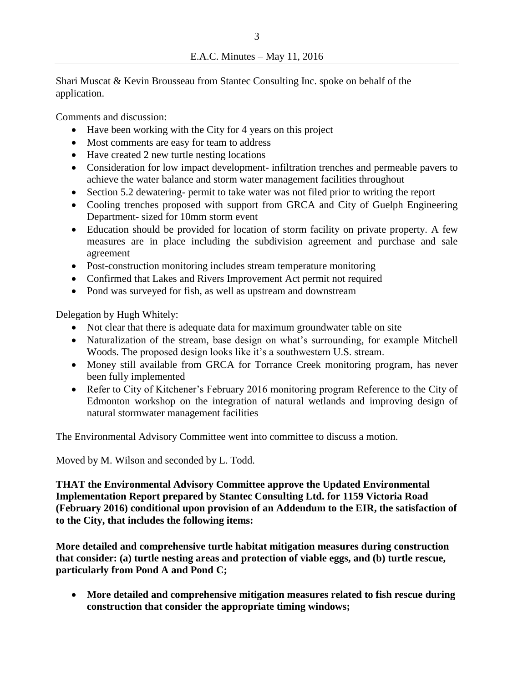Shari Muscat & Kevin Brousseau from Stantec Consulting Inc. spoke on behalf of the application.

Comments and discussion:

- Have been working with the City for 4 years on this project
- Most comments are easy for team to address
- Have created 2 new turtle nesting locations
- Consideration for low impact development- infiltration trenches and permeable pavers to achieve the water balance and storm water management facilities throughout
- Section 5.2 dewatering- permit to take water was not filed prior to writing the report
- Cooling trenches proposed with support from GRCA and City of Guelph Engineering Department- sized for 10mm storm event
- Education should be provided for location of storm facility on private property. A few measures are in place including the subdivision agreement and purchase and sale agreement
- Post-construction monitoring includes stream temperature monitoring
- Confirmed that Lakes and Rivers Improvement Act permit not required
- Pond was surveyed for fish, as well as upstream and downstream

Delegation by Hugh Whitely:

- Not clear that there is adequate data for maximum groundwater table on site
- Naturalization of the stream, base design on what's surrounding, for example Mitchell Woods. The proposed design looks like it's a southwestern U.S. stream.
- Money still available from GRCA for Torrance Creek monitoring program, has never been fully implemented
- Refer to City of Kitchener's February 2016 monitoring program Reference to the City of Edmonton workshop on the integration of natural wetlands and improving design of natural stormwater management facilities

The Environmental Advisory Committee went into committee to discuss a motion.

Moved by M. Wilson and seconded by L. Todd.

**THAT the Environmental Advisory Committee approve the Updated Environmental Implementation Report prepared by Stantec Consulting Ltd. for 1159 Victoria Road (February 2016) conditional upon provision of an Addendum to the EIR, the satisfaction of to the City, that includes the following items:** 

**More detailed and comprehensive turtle habitat mitigation measures during construction that consider: (a) turtle nesting areas and protection of viable eggs, and (b) turtle rescue, particularly from Pond A and Pond C;** 

 **More detailed and comprehensive mitigation measures related to fish rescue during construction that consider the appropriate timing windows;**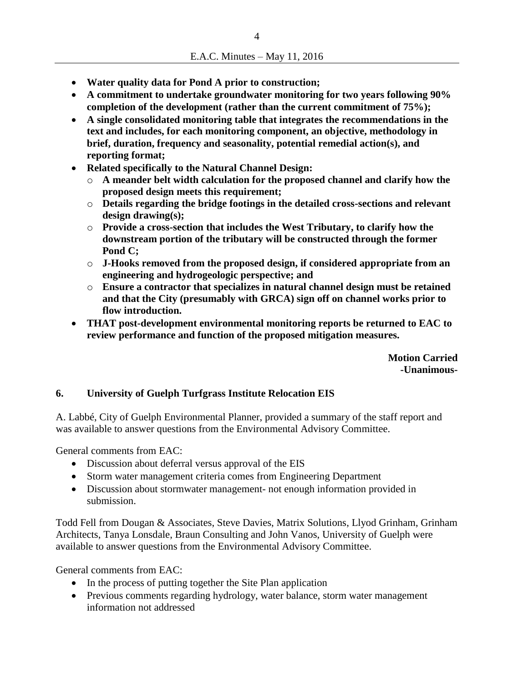- **Water quality data for Pond A prior to construction;**
- **A commitment to undertake groundwater monitoring for two years following 90% completion of the development (rather than the current commitment of 75%);**
- **A single consolidated monitoring table that integrates the recommendations in the text and includes, for each monitoring component, an objective, methodology in brief, duration, frequency and seasonality, potential remedial action(s), and reporting format;**
- **Related specifically to the Natural Channel Design:** 
	- o **A meander belt width calculation for the proposed channel and clarify how the proposed design meets this requirement;**
	- o **Details regarding the bridge footings in the detailed cross-sections and relevant design drawing(s);**
	- o **Provide a cross-section that includes the West Tributary, to clarify how the downstream portion of the tributary will be constructed through the former Pond C;**
	- o **J-Hooks removed from the proposed design, if considered appropriate from an engineering and hydrogeologic perspective; and**
	- o **Ensure a contractor that specializes in natural channel design must be retained and that the City (presumably with GRCA) sign off on channel works prior to flow introduction.**
- **THAT post-development environmental monitoring reports be returned to EAC to review performance and function of the proposed mitigation measures.**

**Motion Carried -Unanimous-**

### **6. University of Guelph Turfgrass Institute Relocation EIS**

A. Labbé, City of Guelph Environmental Planner, provided a summary of the staff report and was available to answer questions from the Environmental Advisory Committee.

General comments from EAC:

- Discussion about deferral versus approval of the EIS
- Storm water management criteria comes from Engineering Department
- Discussion about stormwater management- not enough information provided in submission.

Todd Fell from Dougan & Associates, Steve Davies, Matrix Solutions, Llyod Grinham, Grinham Architects, Tanya Lonsdale, Braun Consulting and John Vanos, University of Guelph were available to answer questions from the Environmental Advisory Committee.

General comments from EAC:

- In the process of putting together the Site Plan application
- Previous comments regarding hydrology, water balance, storm water management information not addressed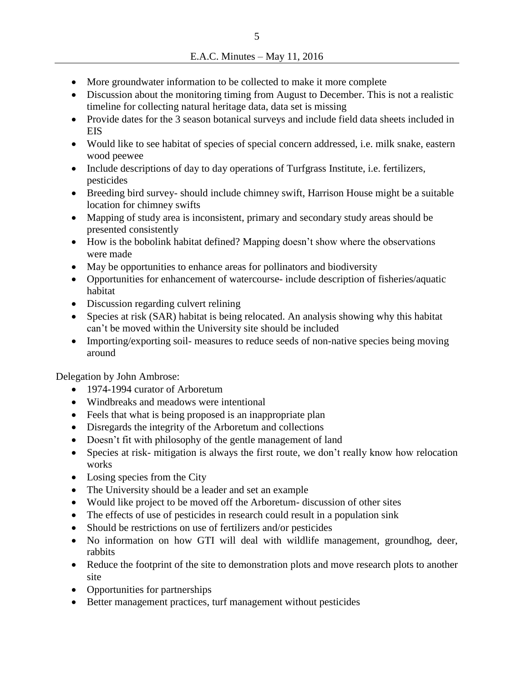- More groundwater information to be collected to make it more complete
- Discussion about the monitoring timing from August to December. This is not a realistic timeline for collecting natural heritage data, data set is missing
- Provide dates for the 3 season botanical surveys and include field data sheets included in EIS
- Would like to see habitat of species of special concern addressed, i.e. milk snake, eastern wood peewee
- Include descriptions of day to day operations of Turfgrass Institute, i.e. fertilizers, pesticides
- Breeding bird survey- should include chimney swift, Harrison House might be a suitable location for chimney swifts
- Mapping of study area is inconsistent, primary and secondary study areas should be presented consistently
- How is the bobolink habitat defined? Mapping doesn't show where the observations were made
- May be opportunities to enhance areas for pollinators and biodiversity
- Opportunities for enhancement of watercourse- include description of fisheries/aquatic habitat
- Discussion regarding culvert relining
- Species at risk (SAR) habitat is being relocated. An analysis showing why this habitat can't be moved within the University site should be included
- Importing/exporting soil- measures to reduce seeds of non-native species being moving around

Delegation by John Ambrose:

- 1974-1994 curator of Arboretum
- Windbreaks and meadows were intentional
- Feels that what is being proposed is an inappropriate plan
- Disregards the integrity of the Arboretum and collections
- Doesn't fit with philosophy of the gentle management of land
- Species at risk- mitigation is always the first route, we don't really know how relocation works
- Losing species from the City
- The University should be a leader and set an example
- Would like project to be moved off the Arboretum- discussion of other sites
- The effects of use of pesticides in research could result in a population sink
- Should be restrictions on use of fertilizers and/or pesticides
- No information on how GTI will deal with wildlife management, groundhog, deer, rabbits
- Reduce the footprint of the site to demonstration plots and move research plots to another site
- Opportunities for partnerships
- Better management practices, turf management without pesticides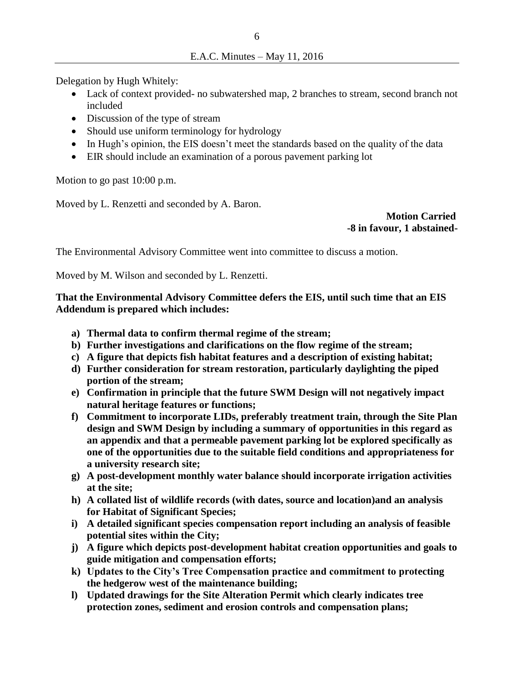Delegation by Hugh Whitely:

- Lack of context provided- no subwatershed map, 2 branches to stream, second branch not included
- Discussion of the type of stream
- Should use uniform terminology for hydrology
- In Hugh's opinion, the EIS doesn't meet the standards based on the quality of the data
- EIR should include an examination of a porous pavement parking lot

Motion to go past 10:00 p.m.

Moved by L. Renzetti and seconded by A. Baron.

 **Motion Carried -8 in favour, 1 abstained-**

The Environmental Advisory Committee went into committee to discuss a motion.

Moved by M. Wilson and seconded by L. Renzetti.

## **That the Environmental Advisory Committee defers the EIS, until such time that an EIS Addendum is prepared which includes:**

- **a) Thermal data to confirm thermal regime of the stream;**
- **b) Further investigations and clarifications on the flow regime of the stream;**
- **c) A figure that depicts fish habitat features and a description of existing habitat;**
- **d) Further consideration for stream restoration, particularly daylighting the piped portion of the stream;**
- **e) Confirmation in principle that the future SWM Design will not negatively impact natural heritage features or functions;**
- **f) Commitment to incorporate LIDs, preferably treatment train, through the Site Plan design and SWM Design by including a summary of opportunities in this regard as an appendix and that a permeable pavement parking lot be explored specifically as one of the opportunities due to the suitable field conditions and appropriateness for a university research site;**
- **g) A post-development monthly water balance should incorporate irrigation activities at the site;**
- **h) A collated list of wildlife records (with dates, source and location)and an analysis for Habitat of Significant Species;**
- **i) A detailed significant species compensation report including an analysis of feasible potential sites within the City;**
- **j) A figure which depicts post-development habitat creation opportunities and goals to guide mitigation and compensation efforts;**
- **k) Updates to the City's Tree Compensation practice and commitment to protecting the hedgerow west of the maintenance building;**
- **l) Updated drawings for the Site Alteration Permit which clearly indicates tree protection zones, sediment and erosion controls and compensation plans;**